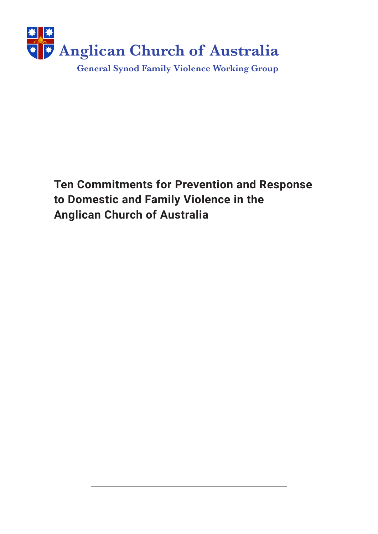

**Ten Commitments for Prevention and Response to Domestic and Family Violence in the Anglican Church of Australia**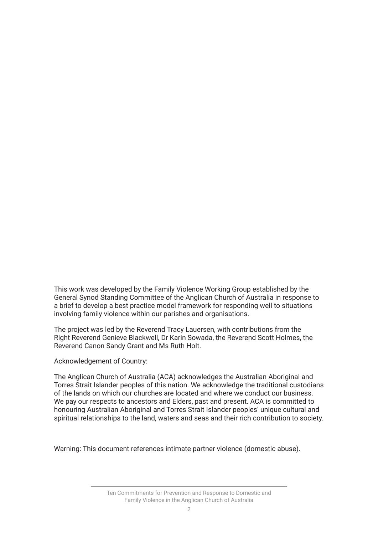This work was developed by the Family Violence Working Group established by the General Synod Standing Committee of the Anglican Church of Australia in response to a brief to develop a best practice model framework for responding well to situations involving family violence within our parishes and organisations.

The project was led by the Reverend Tracy Lauersen, with contributions from the Right Reverend Genieve Blackwell, Dr Karin Sowada, the Reverend Scott Holmes, the Reverend Canon Sandy Grant and Ms Ruth Holt.

Acknowledgement of Country:

The Anglican Church of Australia (ACA) acknowledges the Australian Aboriginal and Torres Strait Islander peoples of this nation. We acknowledge the traditional custodians of the lands on which our churches are located and where we conduct our business. We pay our respects to ancestors and Elders, past and present. ACA is committed to honouring Australian Aboriginal and Torres Strait Islander peoples' unique cultural and spiritual relationships to the land, waters and seas and their rich contribution to society.

Warning: This document references intimate partner violence (domestic abuse).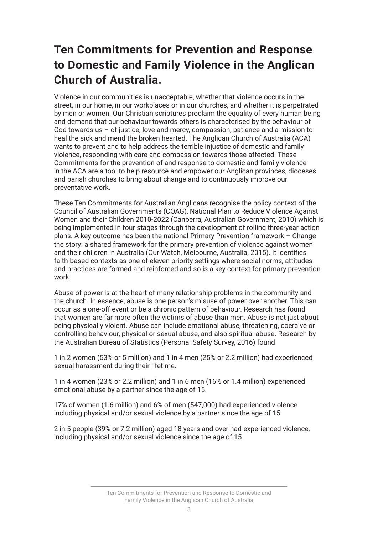### **Ten Commitments for Prevention and Response to Domestic and Family Violence in the Anglican Church of Australia.**

Violence in our communities is unacceptable, whether that violence occurs in the street, in our home, in our workplaces or in our churches, and whether it is perpetrated by men or women. Our Christian scriptures proclaim the equality of every human being and demand that our behaviour towards others is characterised by the behaviour of God towards us – of justice, love and mercy, compassion, patience and a mission to heal the sick and mend the broken hearted. The Anglican Church of Australia (ACA) wants to prevent and to help address the terrible injustice of domestic and family violence, responding with care and compassion towards those affected. These Commitments for the prevention of and response to domestic and family violence in the ACA are a tool to help resource and empower our Anglican provinces, dioceses and parish churches to bring about change and to continuously improve our preventative work.

These Ten Commitments for Australian Anglicans recognise the policy context of the Council of Australian Governments (COAG), National Plan to Reduce Violence Against Women and their Children 2010-2022 (Canberra, Australian Government, 2010) which is being implemented in four stages through the development of rolling three-year action plans. A key outcome has been the national Primary Prevention framework – Change the story: a shared framework for the primary prevention of violence against women and their children in Australia (Our Watch, Melbourne, Australia, 2015). It identifes faith-based contexts as one of eleven priority settings where social norms, attitudes and practices are formed and reinforced and so is a key context for primary prevention work.

Abuse of power is at the heart of many relationship problems in the community and the church. In essence, abuse is one person's misuse of power over another. This can occur as a one-off event or be a chronic pattern of behaviour. Research has found that women are far more often the victims of abuse than men. Abuse is not just about being physically violent. Abuse can include emotional abuse, threatening, coercive or controlling behaviour, physical or sexual abuse, and also spiritual abuse. Research by the Australian Bureau of Statistics (Personal Safety Survey, 2016) found

1 in 2 women (53% or 5 million) and 1 in 4 men (25% or 2.2 million) had experienced sexual harassment during their lifetime.

1 in 4 women (23% or 2.2 million) and 1 in 6 men (16% or 1.4 million) experienced emotional abuse by a partner since the age of 15.

17% of women (1.6 million) and 6% of men (547,000) had experienced violence including physical and/or sexual violence by a partner since the age of 15

2 in 5 people (39% or 7.2 million) aged 18 years and over had experienced violence, including physical and/or sexual violence since the age of 15.

> Ten Commitments for Prevention and Response to Domestic and Family Violence in the Anglican Church of Australia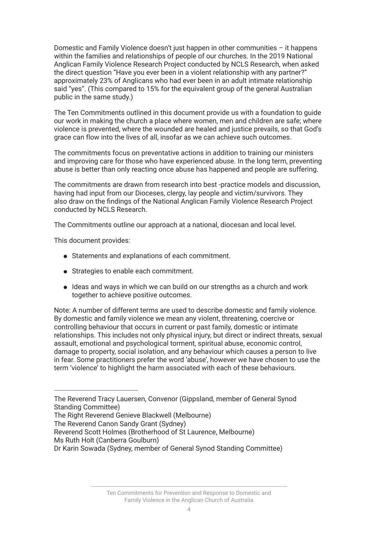Domestic and Family Violence doesn't just happen in other communities – it happens within the families and relationships of people of our churches. In the 2019 National Anglican Family Violence Research Project conducted by NCLS Research, when asked the direct question "Have you ever been in a violent relationship with any partner?" approximately 23% of Anglicans who had ever been in an adult intimate relationship said "yes". (This compared to 15% for the equivalent group of the general Australian public in the same study.)

The Ten Commitments outlined in this document provide us with a foundation to guide our work in making the church a place where women, men and children are safe; where violence is prevented, where the wounded are healed and justice prevails, so that God's grace can flow into the lives of all, insofar as we can achieve such outcomes.

The commitments focus on preventative actions in addition to training our ministers and improving care for those who have experienced abuse. In the long term, preventing abuse is better than only reacting once abuse has happened and people are suffering.

The commitments are drawn from research into best -practice models and discussion, having had input from our Dioceses, clergy, lay people and victim/survivors. They also draw on the fndings of the National Anglican Family Violence Research Project conducted by NCLS Research.

The Commitments outline our approach at a national, diocesan and local level.

This document provides:

- Statements and explanations of each commitment.
- ⚫ Strategies to enable each commitment.
- ⚫ Ideas and ways in which we can build on our strengths as a church and work together to achieve positive outcomes.

Note: A number of different terms are used to describe domestic and family violence. By domestic and family violence we mean any violent, threatening, coercive or controlling behaviour that occurs in current or past family, domestic or intimate relationships. This includes not only physical injury, but direct or indirect threats, sexual assault, emotional and psychological torment, spiritual abuse, economic control, damage to property, social isolation, and any behaviour which causes a person to live in fear. Some practitioners prefer the word 'abuse', however we have chosen to use the term 'violence' to highlight the harm associated with each of these behaviours.

The Reverend Tracy Lauersen, Convenor (Gippsland, member of General Synod Standing Committee)

The Right Reverend Genieve Blackwell (Melbourne)

The Reverend Canon Sandy Grant (Sydney)

Reverend Scott Holmes (Brotherhood of St Laurence, Melbourne)

Ms Ruth Holt (Canberra Goulburn)

Dr Karin Sowada (Sydney, member of General Synod Standing Committee)

Ten Commitments for Prevention and Response to Domestic and Family Violence in the Anglican Church of Australia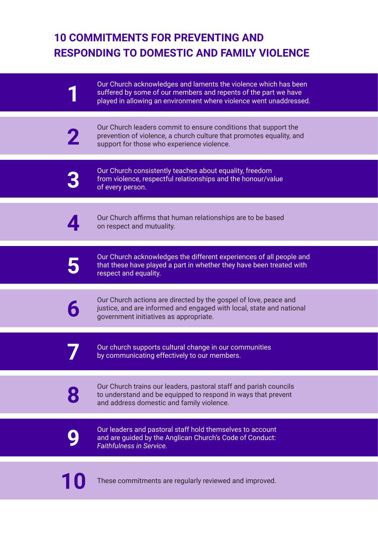### **10 COMMITMENTS FOR PREVENTING AND RESPONDING TO DOMESTIC AND FAMILY VIOLENCE**

| Our Church acknowledges and laments the violence which has been<br>suffered by some of our members and repents of the part we have<br>played in allowing an environment where violence went unaddressed. |
|----------------------------------------------------------------------------------------------------------------------------------------------------------------------------------------------------------|
| Our Church leaders commit to ensure conditions that support the<br>prevention of violence, a church culture that promotes equality, and<br>support for those who experience violence.                    |
| Our Church consistently teaches about equality, freedom<br>from violence, respectful relationships and the honour/value<br>of every person.                                                              |
| Our Church affirms that human relationships are to be based<br>on respect and mutuality.                                                                                                                 |
| Our Church acknowledges the different experiences of all people and<br>that these have played a part in whether they have been treated with<br>respect and equality.                                     |
| Our Church actions are directed by the gospel of love, peace and<br>justice, and are informed and engaged with local, state and national<br>government initiatives as appropriate.                       |
| Our church supports cultural change in our communities<br>by communicating effectively to our members.                                                                                                   |
| Our Church trains our leaders, pastoral staff and parish councils<br>to understand and be equipped to respond in ways that prevent<br>and address domestic and family violence.                          |
| Our leaders and pastoral staff hold themselves to account<br>and are guided by the Anglican Church's Code of Conduct:<br><b>Faithfulness in Service.</b>                                                 |
| These commitments are regularly reviewed and improved.                                                                                                                                                   |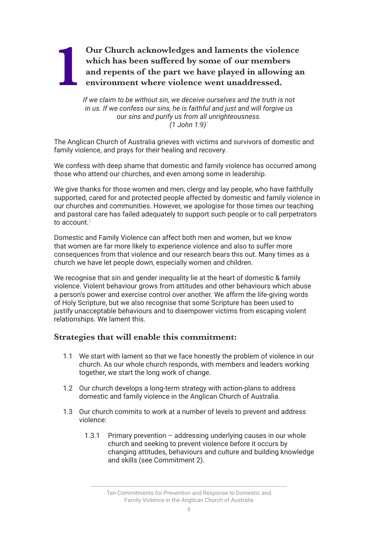### Our Church acknowledges and laments the violence which has been suffered by some of our members and repents of the part we have played in allowing an environment where violence went unaddressed. **which has been sufered by some of our members and repents of the part we have played in allowing an environment where violence went unaddressed.**

*If we claim to be without sin, we deceive ourselves and the truth is not in us. If we confess our sins, he is faithful and just and will forgive us our sins and purify us from all unrighteousness. (1 John 1:9)1*

The Anglican Church of Australia grieves with victims and survivors of domestic and family violence, and prays for their healing and recovery.

We confess with deep shame that domestic and family violence has occurred among those who attend our churches, and even among some in leadership.

We give thanks for those women and men, clergy and lay people, who have faithfully supported, cared for and protected people affected by domestic and family violence in our churches and communities. However, we apologise for those times our teaching and pastoral care has failed adequately to support such people or to call perpetrators to account.*<sup>2</sup>*

Domestic and Family Violence can affect both men and women, but we know that women are far more likely to experience violence and also to suffer more consequences from that violence and our research bears this out. Many times as a church we have let people down, especially women and children.

We recognise that sin and gender inequality lie at the heart of domestic & family violence. Violent behaviour grows from attitudes and other behaviours which abuse a person's power and exercise control over another. We affrm the life-giving words of Holy Scripture, but we also recognise that some Scripture has been used to justify unacceptable behaviours and to disempower victims from escaping violent relationships. We lament this.

#### **Strategies that will enable this commitment:**

- 1.1 We start with lament so that we face honestly the problem of violence in our church. As our whole church responds, with members and leaders working together, we start the long work of change.
- 1.2 Our church develops a long-term strategy with action-plans to address domestic and family violence in the Anglican Church of Australia.
- 1.3 Our church commits to work at a number of levels to prevent and address violence:
	- 1.3.1 Primary prevention addressing underlying causes in our whole church and seeking to prevent violence before it occurs by changing attitudes, behaviours and culture and building knowledge and skills (see Commitment 2).

Ten Commitments for Prevention and Response to Domestic and Family Violence in the Anglican Church of Australia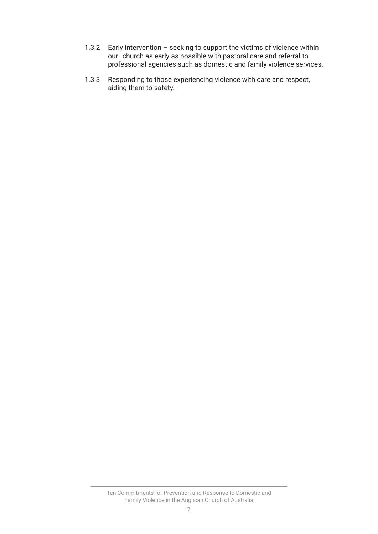- 1.3.2 Early intervention seeking to support the victims of violence within our church as early as possible with pastoral care and referral to professional agencies such as domestic and family violence services.
- 1.3.3 Responding to those experiencing violence with care and respect, aiding them to safety.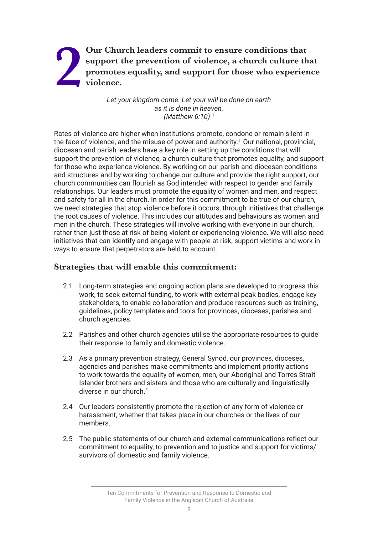### Our Church leaders commit to ensure conditions that<br>support the prevention of violence, a church culture the<br>promotes equality, and support for those who experies<br>violence. **support the prevention of violence, a church culture that promotes equality, and support for those who experience violence.**

*Let your kingdom come. Let your will be done on earth as it is done in heaven. (Matthew 6:10) 3*

Rates of violence are higher when institutions promote, condone or remain silent in the face of violence, and the misuse of power and authority.<sup>4</sup> Our national, provincial, diocesan and parish leaders have a key role in setting up the conditions that will support the prevention of violence, a church culture that promotes equality, and support for those who experience violence. By working on our parish and diocesan conditions and structures and by working to change our culture and provide the right support, our church communities can flourish as God intended with respect to gender and family relationships. Our leaders must promote the equality of women and men, and respect and safety for all in the church. In order for this commitment to be true of our church, we need strategies that stop violence before it occurs, through initiatives that challenge the root causes of violence. This includes our attitudes and behaviours as women and men in the church. These strategies will involve working with everyone in our church, rather than just those at risk of being violent or experiencing violence. We will also need initiatives that can identify and engage with people at risk, support victims and work in ways to ensure that perpetrators are held to account.

### **Strategies that will enable this commitment:**

- 2.1 Long-term strategies and ongoing action plans are developed to progress this work, to seek external funding, to work with external peak bodies, engage key stakeholders, to enable collaboration and produce resources such as training, guidelines, policy templates and tools for provinces, dioceses, parishes and church agencies.
- 2.2 Parishes and other church agencies utilise the appropriate resources to guide their response to family and domestic violence.
- 2.3 As a primary prevention strategy, General Synod, our provinces, dioceses, agencies and parishes make commitments and implement priority actions to work towards the equality of women, men, our Aboriginal and Torres Strait Islander brothers and sisters and those who are culturally and linguistically diverse in our church.*<sup>5</sup>*
- 2.4 Our leaders consistently promote the rejection of any form of violence or harassment, whether that takes place in our churches or the lives of our members.
- 2.5 The public statements of our church and external communications reflect our commitment to equality, to prevention and to justice and support for victims/ survivors of domestic and family violence.

Ten Commitments for Prevention and Response to Domestic and Family Violence in the Anglican Church of Australia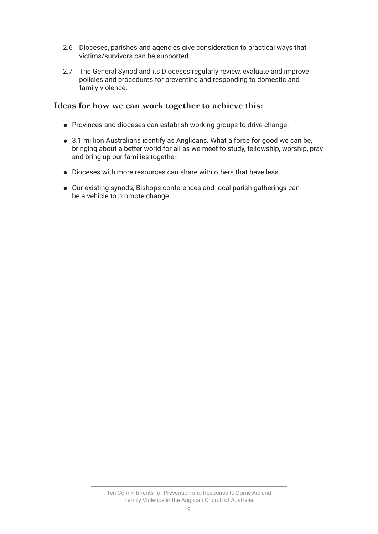- 2.6 Dioceses, parishes and agencies give consideration to practical ways that victims/survivors can be supported.
- 2.7 The General Synod and its Dioceses regularly review, evaluate and improve policies and procedures for preventing and responding to domestic and family violence.

- ⚫ Provinces and dioceses can establish working groups to drive change.
- 3.1 million Australians identify as Anglicans. What a force for good we can be, bringing about a better world for all as we meet to study, fellowship, worship, pray and bring up our families together.
- Dioceses with more resources can share with others that have less.
- ⚫ Our existing synods, Bishops conferences and local parish gatherings can be a vehicle to promote change.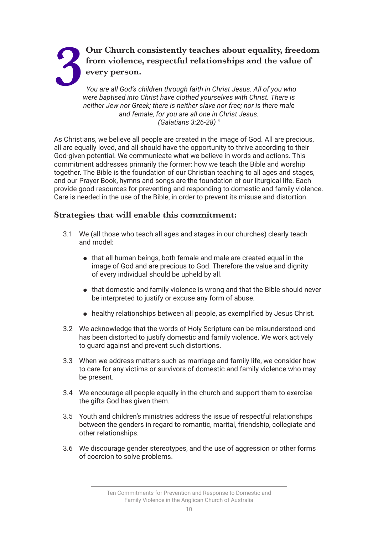## **3 Our Church consistently teaches about equality, freedom<br>from violence, respectful relationships and the value of<br>every person.**<br>You are all God's children through faith in Christ Jesus. All of you who<br>were haptised into **from violence, respectful relationships and the value of every person.**

*You are all God's children through faith in Christ Jesus. All of you who were baptised into Christ have clothed yourselves with Christ. There is neither Jew nor Greek; there is neither slave nor free; nor is there male and female, for you are all one in Christ Jesus. (Galatians 3:26-28) 6*

As Christians, we believe all people are created in the image of God. All are precious, all are equally loved, and all should have the opportunity to thrive according to their God-given potential. We communicate what we believe in words and actions. This commitment addresses primarily the former: how we teach the Bible and worship together. The Bible is the foundation of our Christian teaching to all ages and stages, and our Prayer Book, hymns and songs are the foundation of our liturgical life. Each provide good resources for preventing and responding to domestic and family violence. Care is needed in the use of the Bible, in order to prevent its misuse and distortion.

### **Strategies that will enable this commitment:**

- 3.1 We (all those who teach all ages and stages in our churches) clearly teach and model:
	- ⚫ that all human beings, both female and male are created equal in the image of God and are precious to God. Therefore the value and dignity of every individual should be upheld by all.
	- ⚫ that domestic and family violence is wrong and that the Bible should never be interpreted to justify or excuse any form of abuse.
	- healthy relationships between all people, as exemplified by Jesus Christ.
- 3.2 We acknowledge that the words of Holy Scripture can be misunderstood and has been distorted to justify domestic and family violence. We work actively to guard against and prevent such distortions.
- 3.3 When we address matters such as marriage and family life, we consider how to care for any victims or survivors of domestic and family violence who may be present.
- 3.4 We encourage all people equally in the church and support them to exercise the gifts God has given them.
- 3.5 Youth and children's ministries address the issue of respectful relationships between the genders in regard to romantic, marital, friendship, collegiate and other relationships.
- 3.6 We discourage gender stereotypes, and the use of aggression or other forms of coercion to solve problems.

Ten Commitments for Prevention and Response to Domestic and Family Violence in the Anglican Church of Australia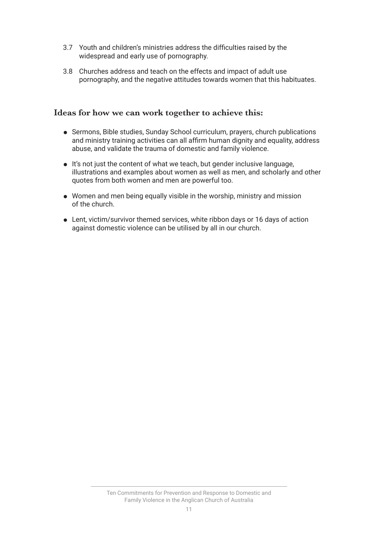- 3.7 Youth and children's ministries address the diffculties raised by the widespread and early use of pornography.
- 3.8 Churches address and teach on the effects and impact of adult use pornography, and the negative attitudes towards women that this habituates.

- ⚫ Sermons, Bible studies, Sunday School curriculum, prayers, church publications and ministry training activities can all affrm human dignity and equality, address abuse, and validate the trauma of domestic and family violence.
- ⚫ It's not just the content of what we teach, but gender inclusive language, illustrations and examples about women as well as men, and scholarly and other quotes from both women and men are powerful too.
- ⚫ Women and men being equally visible in the worship, ministry and mission of the church.
- Lent, victim/survivor themed services, white ribbon days or 16 days of action against domestic violence can be utilised by all in our church.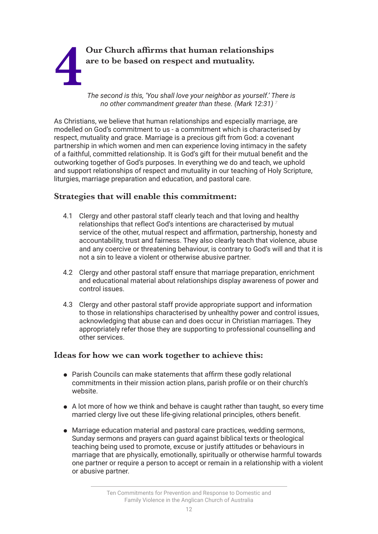# **4 Our Church afrms that human relationships are to be based on respect and mutuality.**

*The second is this, 'You shall love your neighbor as yourself.' There is no other commandment greater than these. (Mark 12:31) <sup>7</sup>*

As Christians, we believe that human relationships and especially marriage, are modelled on God's commitment to us - a commitment which is characterised by respect, mutuality and grace. Marriage is a precious gift from God: a covenant partnership in which women and men can experience loving intimacy in the safety of a faithful, committed relationship. It is God's gift for their mutual beneft and the outworking together of God's purposes. In everything we do and teach, we uphold and support relationships of respect and mutuality in our teaching of Holy Scripture, liturgies, marriage preparation and education, and pastoral care.

### **Strategies that will enable this commitment:**

- 4.1 Clergy and other pastoral staff clearly teach and that loving and healthy relationships that reflect God's intentions are characterised by mutual service of the other, mutual respect and affrmation, partnership, honesty and accountability, trust and fairness. They also clearly teach that violence, abuse and any coercive or threatening behaviour, is contrary to God's will and that it is not a sin to leave a violent or otherwise abusive partner.
- 4.2 Clergy and other pastoral staff ensure that marriage preparation, enrichment and educational material about relationships display awareness of power and control issues.
- 4.3 Clergy and other pastoral staff provide appropriate support and information to those in relationships characterised by unhealthy power and control issues, acknowledging that abuse can and does occur in Christian marriages. They appropriately refer those they are supporting to professional counselling and other services.

- Parish Councils can make statements that affirm these godly relational commitments in their mission action plans, parish profle or on their church's website.
- A lot more of how we think and behave is caught rather than taught, so every time married clergy live out these life-giving relational principles, others beneft.
- ⚫ Marriage education material and pastoral care practices, wedding sermons, Sunday sermons and prayers can guard against biblical texts or theological teaching being used to promote, excuse or justify attitudes or behaviours in marriage that are physically, emotionally, spiritually or otherwise harmful towards one partner or require a person to accept or remain in a relationship with a violent or abusive partner.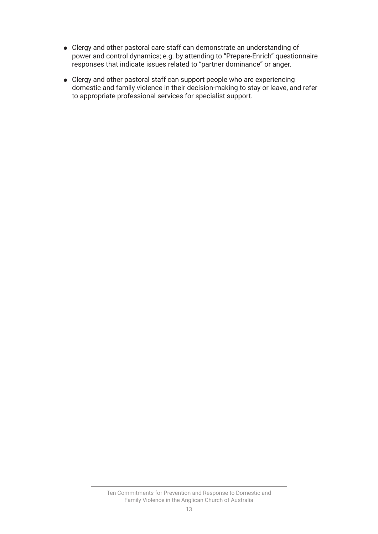- ⚫ Clergy and other pastoral care staff can demonstrate an understanding of power and control dynamics; e.g. by attending to "Prepare-Enrich" questionnaire responses that indicate issues related to "partner dominance" or anger.
- ⚫ Clergy and other pastoral staff can support people who are experiencing domestic and family violence in their decision-making to stay or leave, and refer to appropriate professional services for specialist support.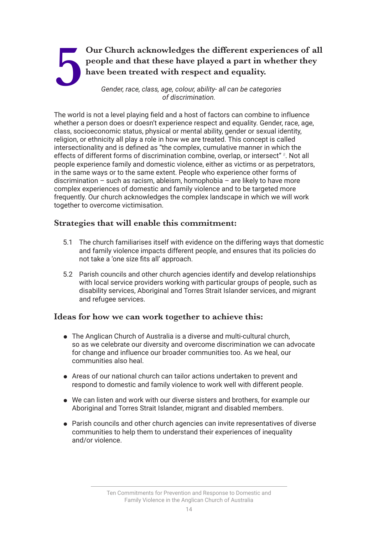## **5 Our Church acknowledges the different experiences of all people and that these have played a part in whether they have been treated with respect and equality.<br>
<b>6** Gender, race, class, age, colour, ability- all can be c **people and that these have played a part in whether they have been treated with respect and equality.**

*Gender, race, class, age, colour, ability- all can be categories of discrimination.*

The world is not a level playing feld and a host of factors can combine to influence whether a person does or doesn't experience respect and equality. Gender, race, age, class, socioeconomic status, physical or mental ability, gender or sexual identity, religion, or ethnicity all play a role in how we are treated. This concept is called intersectionality and is defned as "the complex, cumulative manner in which the effects of different forms of discrimination combine, overlap, or intersect" *<sup>8</sup>* . Not all people experience family and domestic violence, either as victims or as perpetrators, in the same ways or to the same extent. People who experience other forms of discrimination – such as racism, ableism, homophobia – are likely to have more complex experiences of domestic and family violence and to be targeted more frequently. Our church acknowledges the complex landscape in which we will work together to overcome victimisation.

### **Strategies that will enable this commitment:**

- 5.1 The church familiarises itself with evidence on the differing ways that domestic and family violence impacts different people, and ensures that its policies do not take a 'one size fts all' approach.
- 5.2 Parish councils and other church agencies identify and develop relationships with local service providers working with particular groups of people, such as disability services, Aboriginal and Torres Strait Islander services, and migrant and refugee services.

- ⚫ The Anglican Church of Australia is a diverse and multi-cultural church, so as we celebrate our diversity and overcome discrimination we can advocate for change and influence our broader communities too. As we heal, our communities also heal.
- ⚫ Areas of our national church can tailor actions undertaken to prevent and respond to domestic and family violence to work well with different people.
- ⚫ We can listen and work with our diverse sisters and brothers, for example our Aboriginal and Torres Strait Islander, migrant and disabled members.
- ⚫ Parish councils and other church agencies can invite representatives of diverse communities to help them to understand their experiences of inequality and/or violence.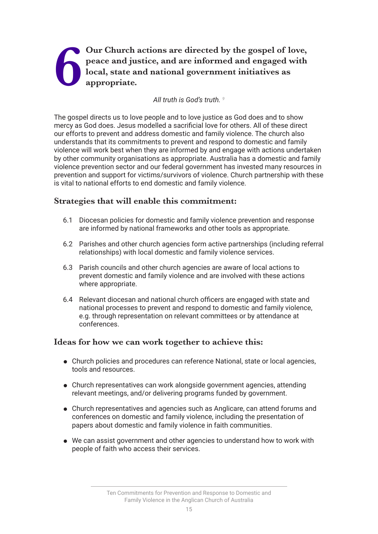### Our Church actions are directed by the gospel of love, peace and justice, and are informed and engaged with local, state and national government initiatives as appropriate. **peace and justice, and are informed and engaged with local, state and national government initiatives as appropriate.**

### *All truth is God's truth. <sup>9</sup>*

The gospel directs us to love people and to love justice as God does and to show mercy as God does. Jesus modelled a sacrifcial love for others. All of these direct our efforts to prevent and address domestic and family violence. The church also understands that its commitments to prevent and respond to domestic and family violence will work best when they are informed by and engage with actions undertaken by other community organisations as appropriate. Australia has a domestic and family violence prevention sector and our federal government has invested many resources in prevention and support for victims/survivors of violence. Church partnership with these is vital to national efforts to end domestic and family violence.

### **Strategies that will enable this commitment:**

- 6.1 Diocesan policies for domestic and family violence prevention and response are informed by national frameworks and other tools as appropriate.
- 6.2 Parishes and other church agencies form active partnerships (including referral relationships) with local domestic and family violence services.
- 6.3 Parish councils and other church agencies are aware of local actions to prevent domestic and family violence and are involved with these actions where appropriate.
- 6.4 Relevant diocesan and national church offcers are engaged with state and national processes to prevent and respond to domestic and family violence, e.g. through representation on relevant committees or by attendance at conferences.

- ⚫ Church policies and procedures can reference National, state or local agencies, tools and resources.
- ⚫ Church representatives can work alongside government agencies, attending relevant meetings, and/or delivering programs funded by government.
- ⚫ Church representatives and agencies such as Anglicare, can attend forums and conferences on domestic and family violence, including the presentation of papers about domestic and family violence in faith communities.
- ⚫ We can assist government and other agencies to understand how to work with people of faith who access their services.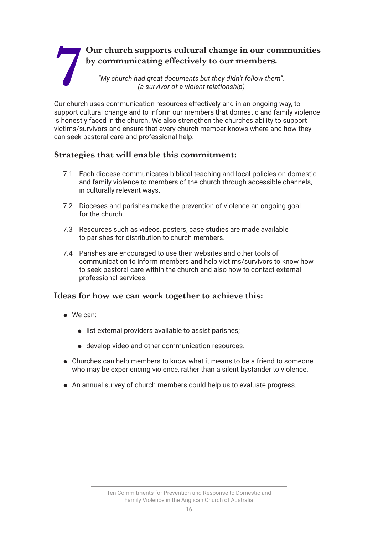### **7 Our church supports cultural change in our communities by communicating effectively to our members.**<br>"My church had great documents but they didn't follow them".<br>(a survivor of a violent relationship) **by communicating efectively to our members.** *"My church had great documents but they didn't follow them". (a survivor of a violent relationship)*

Our church uses communication resources effectively and in an ongoing way, to support cultural change and to inform our members that domestic and family violence is honestly faced in the church. We also strengthen the churches ability to support victims/survivors and ensure that every church member knows where and how they can seek pastoral care and professional help.

### **Strategies that will enable this commitment:**

- 7.1 Each diocese communicates biblical teaching and local policies on domestic and family violence to members of the church through accessible channels, in culturally relevant ways.
- 7.2 Dioceses and parishes make the prevention of violence an ongoing goal for the church.
- 7.3 Resources such as videos, posters, case studies are made available to parishes for distribution to church members.
- 7.4 Parishes are encouraged to use their websites and other tools of communication to inform members and help victims/survivors to know how to seek pastoral care within the church and also how to contact external professional services.

- ⚫ We can:
	- ⚫ list external providers available to assist parishes;
	- ⚫ develop video and other communication resources.
- ⚫ Churches can help members to know what it means to be a friend to someone who may be experiencing violence, rather than a silent bystander to violence.
- ⚫ An annual survey of church members could help us to evaluate progress.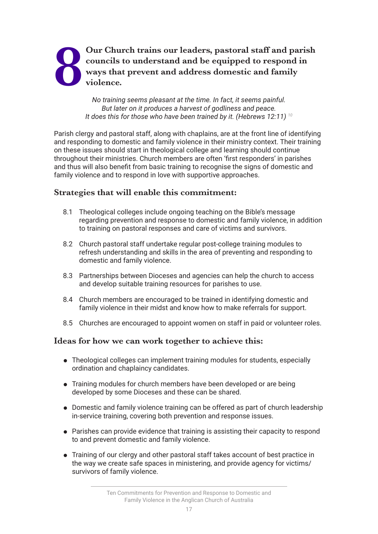### Our Church trains our leaders, pastoral staff and parish councils to understand and be equipped to respond in ways that prevent and address domestic and family violence. **councils to understand and be equipped to respond in ways that prevent and address domestic and family violence.**

*No training seems pleasant at the time. In fact, it seems painful. But later on it produces a harvest of godliness and peace. It does this for those who have been trained by it. (Hebrews 12:11) 10*

Parish clergy and pastoral staff, along with chaplains, are at the front line of identifying and responding to domestic and family violence in their ministry context. Their training on these issues should start in theological college and learning should continue throughout their ministries. Church members are often 'frst responders' in parishes and thus will also beneft from basic training to recognise the signs of domestic and family violence and to respond in love with supportive approaches.

### **Strategies that will enable this commitment:**

- 8.1 Theological colleges include ongoing teaching on the Bible's message regarding prevention and response to domestic and family violence, in addition to training on pastoral responses and care of victims and survivors.
- 8.2 Church pastoral staff undertake regular post-college training modules to refresh understanding and skills in the area of preventing and responding to domestic and family violence.
- 8.3 Partnerships between Dioceses and agencies can help the church to access and develop suitable training resources for parishes to use.
- 8.4 Church members are encouraged to be trained in identifying domestic and family violence in their midst and know how to make referrals for support.
- 8.5 Churches are encouraged to appoint women on staff in paid or volunteer roles.

- ⚫ Theological colleges can implement training modules for students, especially ordination and chaplaincy candidates.
- Training modules for church members have been developed or are being developed by some Dioceses and these can be shared.
- ⚫ Domestic and family violence training can be offered as part of church leadership in-service training, covering both prevention and response issues.
- ⚫ Parishes can provide evidence that training is assisting their capacity to respond to and prevent domestic and family violence.
- ⚫ Training of our clergy and other pastoral staff takes account of best practice in the way we create safe spaces in ministering, and provide agency for victims/ survivors of family violence.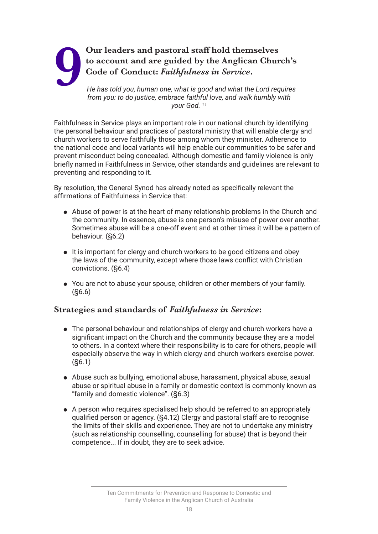## Our leaders and pastoral staff hold themselves<br>to account and are guided by the Anglican Chur<br>Code of Conduct: *Faithfulness in Service*.<br>He has told you, human one, what is good and what the Lord req<br>from you; to do justi **to account and are guided by the Anglican Church's Code of Conduct:** *Faithfulness in Service***.**

*He has told you, human one, what is good and what the Lord requires from you: to do justice, embrace faithful love, and walk humbly with your God. 11*

Faithfulness in Service plays an important role in our national church by identifying the personal behaviour and practices of pastoral ministry that will enable clergy and church workers to serve faithfully those among whom they minister. Adherence to the national code and local variants will help enable our communities to be safer and prevent misconduct being concealed. Although domestic and family violence is only briefly named in Faithfulness in Service, other standards and guidelines are relevant to preventing and responding to it.

By resolution, the General Synod has already noted as specifcally relevant the affrmations of Faithfulness in Service that:

- ⚫ Abuse of power is at the heart of many relationship problems in the Church and the community. In essence, abuse is one person's misuse of power over another. Sometimes abuse will be a one-off event and at other times it will be a pattern of behaviour. (§6.2)
- ⚫ It is important for clergy and church workers to be good citizens and obey the laws of the community, except where those laws conflict with Christian convictions. (§6.4)
- ⚫ You are not to abuse your spouse, children or other members of your family. (§6.6)

### **Strategies and standards of** *Faithfulness in Service***:**

- ⚫ The personal behaviour and relationships of clergy and church workers have a signifcant impact on the Church and the community because they are a model to others. In a context where their responsibility is to care for others, people will especially observe the way in which clergy and church workers exercise power. (§6.1)
- ⚫ Abuse such as bullying, emotional abuse, harassment, physical abuse, sexual abuse or spiritual abuse in a family or domestic context is commonly known as "family and domestic violence". (§6.3)
- A person who requires specialised help should be referred to an appropriately qualifed person or agency. (§4.12) Clergy and pastoral staff are to recognise the limits of their skills and experience. They are not to undertake any ministry (such as relationship counselling, counselling for abuse) that is beyond their competence... If in doubt, they are to seek advice.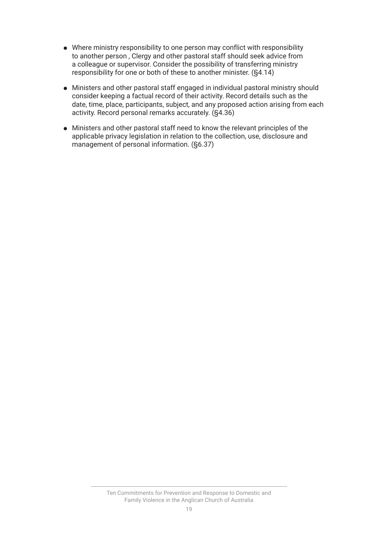- ⚫ Where ministry responsibility to one person may conflict with responsibility to another person , Clergy and other pastoral staff should seek advice from a colleague or supervisor. Consider the possibility of transferring ministry responsibility for one or both of these to another minister. (§4.14)
- ⚫ Ministers and other pastoral staff engaged in individual pastoral ministry should consider keeping a factual record of their activity. Record details such as the date, time, place, participants, subject, and any proposed action arising from each activity. Record personal remarks accurately. (§4.36)
- ⚫ Ministers and other pastoral staff need to know the relevant principles of the applicable privacy legislation in relation to the collection, use, disclosure and management of personal information. (§6.37)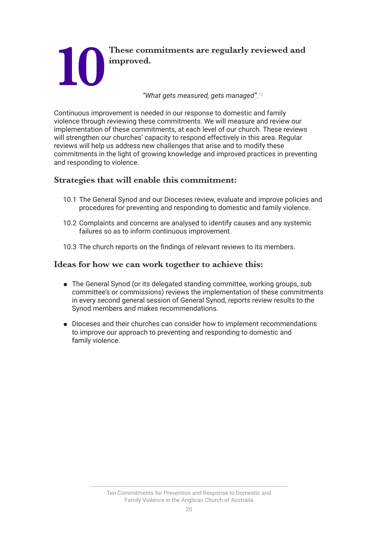

Continuous improvement is needed in our response to domestic and family violence through reviewing these commitments. We will measure and review our implementation of these commitments, at each level of our church. These reviews will strengthen our churches' capacity to respond effectively in this area. Regular reviews will help us address new challenges that arise and to modify these commitments in the light of growing knowledge and improved practices in preventing and responding to violence.

### **Strategies that will enable this commitment:**

- 10.1 The General Synod and our Dioceses review, evaluate and improve policies and procedures for preventing and responding to domestic and family violence.
- 10.2 Complaints and concerns are analysed to identify causes and any systemic failures so as to inform continuous improvement.
- 10.3 The church reports on the fndings of relevant reviews to its members.

- The General Synod (or its delegated standing committee, working groups, sub committee's or commissions) reviews the implementation of these commitments in every second general session of General Synod, reports review results to the Synod members and makes recommendations.
- ⚫ Dioceses and their churches can consider how to implement recommendations to improve our approach to preventing and responding to domestic and family violence.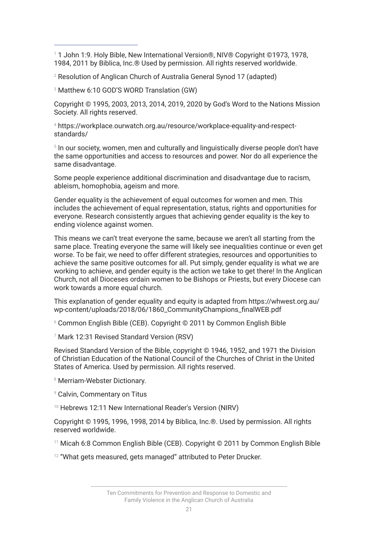1 1 John 1:9. Holy Bible, New International Version®, NIV® Copyright ©1973, 1978, 1984, 2011 by Biblica, Inc.® Used by permission. All rights reserved worldwide.

 $^\mathrm{2}$  Resolution of Anglican Church of Australia General Synod 17 (adapted)

3 Matthew 6:10 GOD'S WORD Translation (GW)

Copyright © 1995, 2003, 2013, 2014, 2019, 2020 by God's Word to the Nations Mission Society. All rights reserved.

4 https://workplace.ourwatch.org.au/resource/workplace-equality-and-respectstandards/

**<sup>5</sup> In our society, women, men and culturally and linguistically diverse people don't have** the same opportunities and access to resources and power. Nor do all experience the same disadvantage.

Some people experience additional discrimination and disadvantage due to racism, ableism, homophobia, ageism and more.

Gender equality is the achievement of equal outcomes for women and men. This includes the achievement of equal representation, status, rights and opportunities for everyone. Research consistently argues that achieving gender equality is the key to ending violence against women.

This means we can't treat everyone the same, because we aren't all starting from the same place. Treating everyone the same will likely see inequalities continue or even get worse. To be fair, we need to offer different strategies, resources and opportunities to achieve the same positive outcomes for all. Put simply, gender equality is what we are working to achieve, and gender equity is the action we take to get there! In the Anglican Church, not all Dioceses ordain women to be Bishops or Priests, but every Diocese can work towards a more equal church.

This explanation of gender equality and equity is adapted from https://whwest.org.au/ wp-content/uploads/2018/06/1860\_CommunityChampions\_fnalWEB.pdf

 $^{\circ}$  Common English Bible (CEB). Copyright © 2011 by Common English Bible

7 Mark 12:31 Revised Standard Version (RSV)

Revised Standard Version of the Bible, copyright © 1946, 1952, and 1971 the Division of Christian Education of the National Council of the Churches of Christ in the United States of America. Used by permission. All rights reserved.

8 Merriam-Webster Dictionary.

9 Calvin, Commentary on Titus

<sup>10</sup> Hebrews 12:11 New International Reader's Version (NIRV)

Copyright © 1995, 1996, 1998, 2014 by Biblica, Inc.®. Used by permission. All rights reserved worldwide.

<sup>11</sup> Micah 6:8 Common English Bible (CEB). Copyright © 2011 by Common English Bible

 $12$  "What gets measured, gets managed" attributed to Peter Drucker.